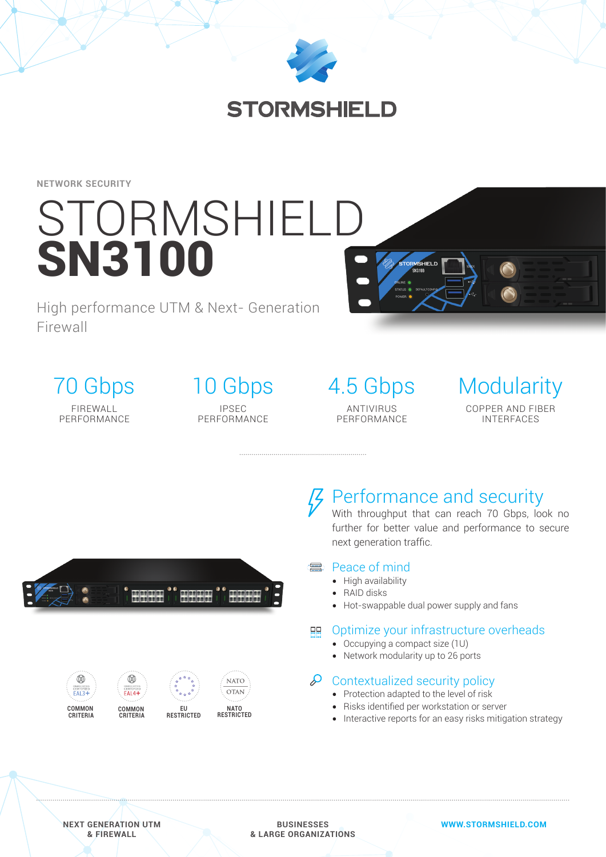

**NETWORK SECURITY**

# STORMSHIELD **SN3100**

High performance UTM & Next- Generation Firewall

70 Gbps FIREWALL PERFORMANCE

10 Gbps IPSEC PERFORMANCE









## Performance and security

With throughput that can reach 70 Gbps, look no further for better value and performance to secure next generation traffic.

## e Peace of mind

- High availability
- RAID disks
- Hot-swappable dual power supply and fans

## **ER** Optimize your infrastructure overheads

- Occupying a compact size (1U)
- Network modularity up to 26 ports

## $\mathcal P$  Contextualized security policy

- Protection adapted to the level of risk
- Risks identified per workstation or server
- Interactive reports for an easy risks mitigation strategy

**NEXT GENERATION UTM & FIREWALL**

**BUSINESSES & LARGE ORGANIZATIONS** **[WWW.STORMSHIELD.C](https://www.stormshield.com)OM**